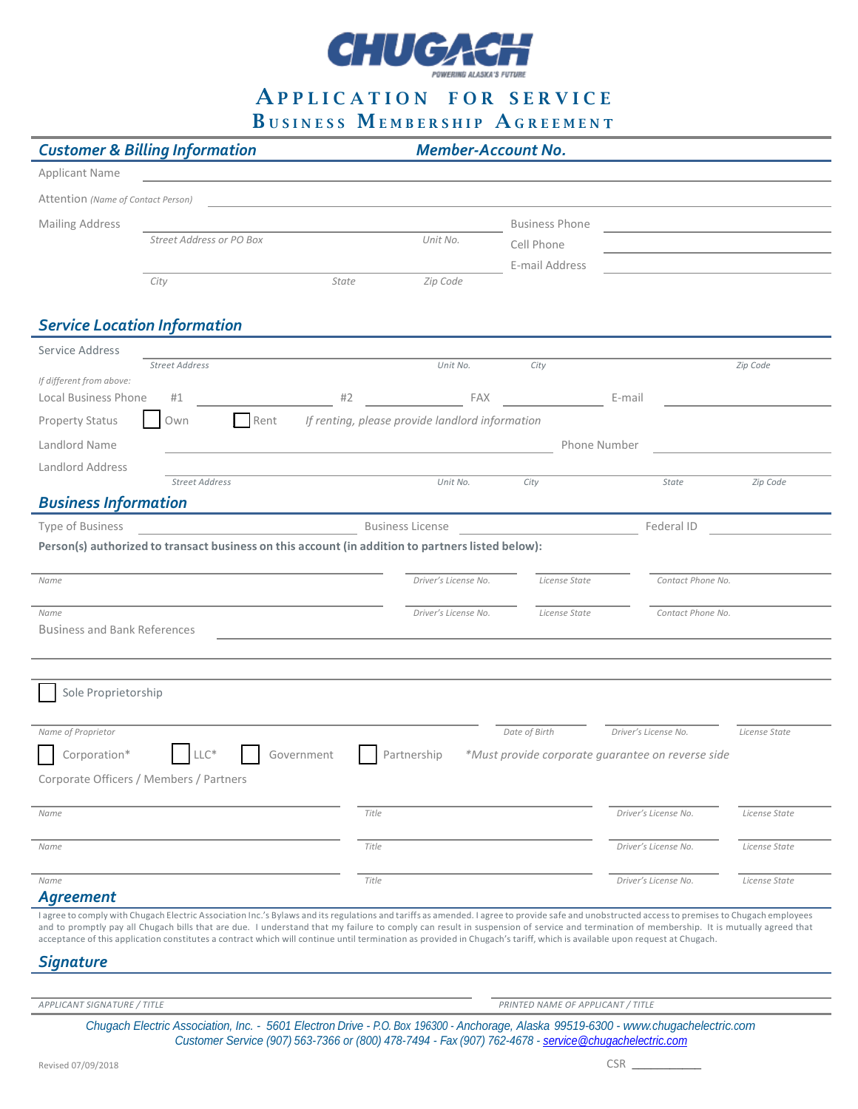

APPLICATION FOR SERVICE

BUSINESS MEMBERSHIP AGREEMENT

|                                     | <b>Customer &amp; Billing Information</b>                                                                                                                                                                                                                                                                                                                            |                                                                                                                       | <b>Member-Account No.</b>                       |                                   |                                                   |                                                                            |
|-------------------------------------|----------------------------------------------------------------------------------------------------------------------------------------------------------------------------------------------------------------------------------------------------------------------------------------------------------------------------------------------------------------------|-----------------------------------------------------------------------------------------------------------------------|-------------------------------------------------|-----------------------------------|---------------------------------------------------|----------------------------------------------------------------------------|
| <b>Applicant Name</b>               |                                                                                                                                                                                                                                                                                                                                                                      | <u> 1980 - Andrea Station Barbara, amerikan personal (h. 1980)</u>                                                    |                                                 |                                   |                                                   |                                                                            |
| Attention (Name of Contact Person)  |                                                                                                                                                                                                                                                                                                                                                                      | the control of the control of the control of the control of the control of the control of                             |                                                 |                                   |                                                   |                                                                            |
| <b>Mailing Address</b>              |                                                                                                                                                                                                                                                                                                                                                                      |                                                                                                                       |                                                 | <b>Business Phone</b>             |                                                   |                                                                            |
|                                     | Street Address or PO Box                                                                                                                                                                                                                                                                                                                                             |                                                                                                                       | Unit No.                                        | Cell Phone                        |                                                   | the control of the control of the control of the control of the control of |
|                                     |                                                                                                                                                                                                                                                                                                                                                                      |                                                                                                                       |                                                 | E-mail Address                    |                                                   |                                                                            |
|                                     | City                                                                                                                                                                                                                                                                                                                                                                 | State                                                                                                                 | Zip Code                                        |                                   |                                                   |                                                                            |
|                                     |                                                                                                                                                                                                                                                                                                                                                                      |                                                                                                                       |                                                 |                                   |                                                   |                                                                            |
|                                     | <b>Service Location Information</b>                                                                                                                                                                                                                                                                                                                                  |                                                                                                                       |                                                 |                                   |                                                   |                                                                            |
| Service Address                     |                                                                                                                                                                                                                                                                                                                                                                      |                                                                                                                       |                                                 |                                   |                                                   |                                                                            |
| If different from above:            | <b>Street Address</b>                                                                                                                                                                                                                                                                                                                                                |                                                                                                                       | Unit No.                                        | City                              |                                                   | Zip Code                                                                   |
| <b>Local Business Phone</b>         | #1                                                                                                                                                                                                                                                                                                                                                                   |                                                                                                                       |                                                 | #2 FAX E-mail                     |                                                   |                                                                            |
| <b>Property Status</b>              | Rent<br>Own                                                                                                                                                                                                                                                                                                                                                          |                                                                                                                       | If renting, please provide landlord information |                                   |                                                   |                                                                            |
| Landlord Name                       |                                                                                                                                                                                                                                                                                                                                                                      |                                                                                                                       |                                                 | Phone Number                      |                                                   |                                                                            |
| Landlord Address                    |                                                                                                                                                                                                                                                                                                                                                                      | <u> 1989 - Johann Barn, mars ann an t-Amhain Aonaichte ann an t-Aonaichte ann an t-Aonaichte ann an t-Aonaichte a</u> |                                                 |                                   |                                                   |                                                                            |
|                                     | <b>Street Address</b>                                                                                                                                                                                                                                                                                                                                                |                                                                                                                       | Unit No.                                        | City                              | State                                             | Zip Code                                                                   |
| <b>Business Information</b>         |                                                                                                                                                                                                                                                                                                                                                                      |                                                                                                                       |                                                 |                                   |                                                   |                                                                            |
| Type of Business                    |                                                                                                                                                                                                                                                                                                                                                                      |                                                                                                                       | <b>Business License</b>                         |                                   | Federal ID                                        |                                                                            |
|                                     | Person(s) authorized to transact business on this account (in addition to partners listed below):                                                                                                                                                                                                                                                                    |                                                                                                                       |                                                 |                                   |                                                   |                                                                            |
|                                     |                                                                                                                                                                                                                                                                                                                                                                      |                                                                                                                       |                                                 |                                   |                                                   |                                                                            |
| Name                                |                                                                                                                                                                                                                                                                                                                                                                      |                                                                                                                       | Driver's License No.                            | License State                     | Contact Phone No.                                 |                                                                            |
| Name                                |                                                                                                                                                                                                                                                                                                                                                                      |                                                                                                                       | Driver's License No.                            | License State                     | Contact Phone No.                                 |                                                                            |
| <b>Business and Bank References</b> |                                                                                                                                                                                                                                                                                                                                                                      |                                                                                                                       |                                                 |                                   |                                                   |                                                                            |
|                                     |                                                                                                                                                                                                                                                                                                                                                                      |                                                                                                                       |                                                 |                                   |                                                   |                                                                            |
|                                     |                                                                                                                                                                                                                                                                                                                                                                      |                                                                                                                       |                                                 |                                   |                                                   |                                                                            |
| Sole Proprietorship                 |                                                                                                                                                                                                                                                                                                                                                                      |                                                                                                                       |                                                 |                                   |                                                   |                                                                            |
|                                     |                                                                                                                                                                                                                                                                                                                                                                      |                                                                                                                       |                                                 |                                   |                                                   |                                                                            |
| Name of Proprietor                  |                                                                                                                                                                                                                                                                                                                                                                      |                                                                                                                       |                                                 | Date of Birth                     | Driver's License No.                              | License State                                                              |
| Corporation*                        | $LLC*$                                                                                                                                                                                                                                                                                                                                                               | Government                                                                                                            | Partnership                                     |                                   | *Must provide corporate quarantee on reverse side |                                                                            |
|                                     | Corporate Officers / Members / Partners                                                                                                                                                                                                                                                                                                                              |                                                                                                                       |                                                 |                                   |                                                   |                                                                            |
| Name                                |                                                                                                                                                                                                                                                                                                                                                                      | Title                                                                                                                 |                                                 |                                   | Driver's License No.                              | License State                                                              |
|                                     |                                                                                                                                                                                                                                                                                                                                                                      |                                                                                                                       |                                                 |                                   |                                                   |                                                                            |
| Name                                |                                                                                                                                                                                                                                                                                                                                                                      | Title                                                                                                                 |                                                 |                                   | Driver's License No.                              | License State                                                              |
|                                     |                                                                                                                                                                                                                                                                                                                                                                      |                                                                                                                       |                                                 |                                   | Driver's License No.                              |                                                                            |
| Name<br><b>Agreement</b>            |                                                                                                                                                                                                                                                                                                                                                                      | Title                                                                                                                 |                                                 |                                   |                                                   | License State                                                              |
|                                     | I agree to comply with Chugach Electric Association Inc.'s Bylaws and its regulations and tariffs as amended. I agree to provide safe and unobstructed access to premises to Chugach employees                                                                                                                                                                       |                                                                                                                       |                                                 |                                   |                                                   |                                                                            |
|                                     | and to promptly pay all Chugach bills that are due. I understand that my failure to comply can result in suspension of service and termination of membership. It is mutually agreed that<br>acceptance of this application constitutes a contract which will continue until termination as provided in Chugach's tariff, which is available upon request at Chugach. |                                                                                                                       |                                                 |                                   |                                                   |                                                                            |
| <b>Signature</b>                    |                                                                                                                                                                                                                                                                                                                                                                      |                                                                                                                       |                                                 |                                   |                                                   |                                                                            |
|                                     |                                                                                                                                                                                                                                                                                                                                                                      |                                                                                                                       |                                                 |                                   |                                                   |                                                                            |
| APPLICANT SIGNATURE / TITLE         |                                                                                                                                                                                                                                                                                                                                                                      |                                                                                                                       |                                                 | PRINTED NAME OF APPLICANT / TITLE |                                                   |                                                                            |

*Chugach Electric Association, Inc. - 5601 Electron Drive - P.O. Box 196300 - Anchorage, Alaska 99519-6300 - [www.chugachelectric.com](http://www.chugachelectric.com/) Customer Service (907) 563-7366 or (800) 478-7494 - Fax (907) 762-4678 - [service@chugachelectric.com](mailto:service@chugachelectric.com)*